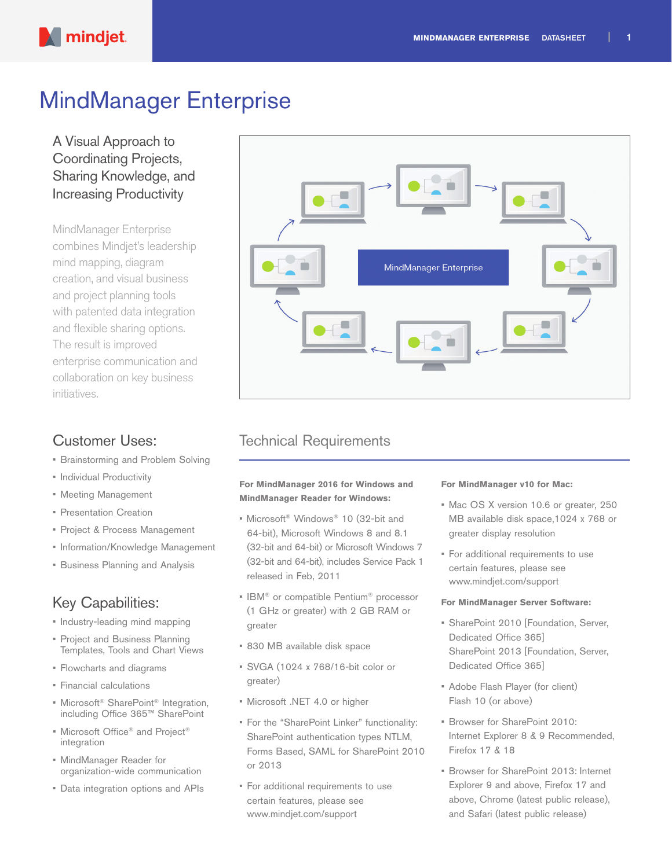

# MindManager Enterprise

A Visual Approach to Coordinating Projects, Sharing Knowledge, and Increasing Productivity

MindManager Enterprise combines Mindjet's leadership mind mapping, diagram creation, and visual business and project planning tools with patented data integration and flexible sharing options. The result is improved enterprise communication and collaboration on key business initiatives.

### Customer Uses:

- Brainstorming and Problem Solving
- Individual Productivity
- Meeting Management
- Presentation Creation
- Project & Process Management
- Information/Knowledge Management
- Business Planning and Analysis

## Key Capabilities:

- Industry-leading mind mapping
- Project and Business Planning Templates, Tools and Chart Views
- Flowcharts and diagrams
- Financial calculations
- Microsoft<sup>®</sup> SharePoint<sup>®</sup> Integration, including Office 365™ SharePoint
- Microsoft Office® and Project® integration
- MindManager Reader for organization-wide communication
- Data integration options and APIs



### Technical Requirements

#### **For MindManager 2016 for Windows and MindManager Reader for Windows:**

- Microsoft® Windows® 10 (32-bit and 64-bit), Microsoft Windows 8 and 8.1 (32-bit and 64-bit) or Microsoft Windows 7 (32-bit and 64-bit), includes Service Pack 1 released in Feb, 2011
- IBM® or compatible Pentium® processor (1 GHz or greater) with 2 GB RAM or greater
- 830 MB available disk space
- SVGA (1024 x 768/16-bit color or greater)
- Microsoft .NET 4.0 or higher
- For the "SharePoint Linker" functionality: SharePoint authentication types NTLM, Forms Based, SAML for SharePoint 2010 or 2013
- For additional requirements to use certain features, please see www.mindjet.com/support

#### **For MindManager v10 for Mac:**

- Mac OS X version 10.6 or greater, 250 MB available disk space,1024 x 768 or greater display resolution
- For additional requirements to use certain features, please see www.mindjet.com/support

#### **For MindManager Server Software:**

- SharePoint 2010 [Foundation, Server, Dedicated Office 365] SharePoint 2013 [Foundation, Server, Dedicated Office 365]
- Adobe Flash Player (for client) Flash 10 (or above)
- Browser for SharePoint 2010: Internet Explorer 8 & 9 Recommended, Firefox 17 & 18
- Browser for SharePoint 2013: Internet Explorer 9 and above, Firefox 17 and above, Chrome (latest public release), and Safari (latest public release)